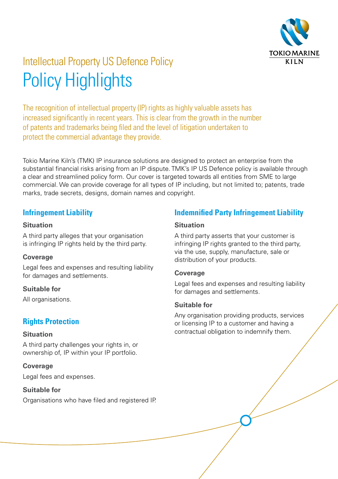

# Intellectual Property US Defence Policy Policy Highlights

The recognition of intellectual property (IP) rights as highly valuable assets has increased significantly in recent years. This is clear from the growth in the number of patents and trademarks being filed and the level of litigation undertaken to protect the commercial advantage they provide.

Tokio Marine Kiln's (TMK) IP insurance solutions are designed to protect an enterprise from the substantial financial risks arising from an IP dispute. TMK's IP US Defence policy is available through a clear and streamlined policy form. Our cover is targeted towards all entities from SME to large commercial. We can provide coverage for all types of IP including, but not limited to; patents, trade marks, trade secrets, designs, domain names and copyright.

#### **Infringement Liability**

#### **Situation**

A third party alleges that your organisation is infringing IP rights held by the third party.

#### **Coverage**

Legal fees and expenses and resulting liability for damages and settlements.

#### **Suitable for**

All organisations.

### **Rights Protection**

#### **Situation**

A third party challenges your rights in, or ownership of, IP within your IP portfolio.

#### **Coverage**

Legal fees and expenses.

#### **Suitable for**

Organisations who have filed and registered IP.

### **Indemnified Party Infringement Liability**

#### **Situation**

A third party asserts that your customer is infringing IP rights granted to the third party. via the use, supply, manufacture, sale or distribution of your products.

#### **Coverage**

Legal fees and expenses and resulting liability for damages and settlements.

#### **Suitable for**

Any organisation providing products, services or licensing IP to a customer and having a contractual obligation to indemnify them.